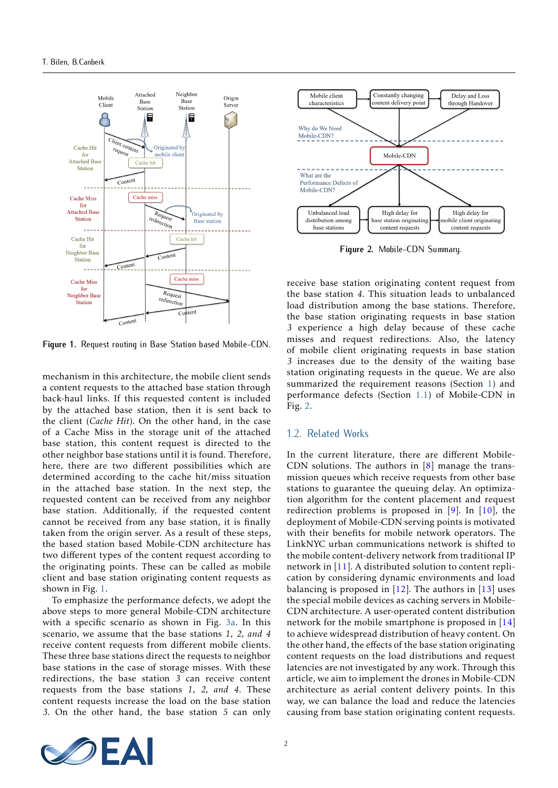<span id="page-1-0"></span>

**Figure 1.** Request routing in Base Station based Mobile-CDN.

mechanism in this architecture, the mobile client sends a content requests to the attached base station through back-haul links. If this requested content is included by the attached base station, then it is sent back to the client (*Cache Hit*). On the other hand, in the case of a Cache Miss in the storage unit of the attached base station, this content request is directed to the other neighbor base stations until it is found. Therefore, here, there are two different possibilities which are determined according to the cache hit/miss situation in the attached base station. In the next step, the requested content can be received from any neighbor base station. Additionally, if the requested content cannot be received from any base station, it is finally taken from the origin server. As a result of these steps, the based station based Mobile-CDN architecture has two different types of the content request according to the originating points. These can be called as mobile client and base station originating content requests as shown in Fig. [1.](#page-1-0)

To emphasize the performance defects, we adopt the above steps to more general Mobile-CDN architecture with a specific scenario as shown in Fig. [3a.](#page-3-0) In this scenario, we assume that the base stations *1, 2, and 4* receive content requests from different mobile clients. These three base stations direct the requests to neighbor base stations in the case of storage misses. With these redirections, the base station *3* can receive content requests from the base stations *1, 2, and 4*. These content requests increase the load on the base station *3*. On the other hand, the base station *5* can only

<span id="page-1-1"></span>

**Figure 2.** Mobile-CDN Summary.

receive base station originating content request from the base station *4*. This situation leads to unbalanced load distribution among the base stations. Therefore, the base station originating requests in base station *3* experience a high delay because of these cache misses and request redirections. Also, the latency of mobile client originating requests in base station *3* increases due to the density of the waiting base station originating requests in the queue. We are also summarized the requirement reasons (Section [1\)](#page-0-0) and performance defects (Section [1.1\)](#page-0-1) of Mobile-CDN in Fig. [2.](#page-1-1)

#### 1.2. Related Works

In the current literature, there are different Mobile-CDN solutions. The authors in  $[8]$  manage the transmission queues which receive requests from other base stations to guarantee the queuing delay. An optimization algorithm for the content placement and request redirection problems is proposed in  $[9]$ . In  $[10]$ , the deployment of Mobile-CDN serving points is motivated with their benefits for mobile network operators. The LinkNYC urban communications network is shifted to the mobile content-delivery network from traditional IP network in [\[11\]](#page-6-3). A distributed solution to content replication by considering dynamic environments and load balancing is proposed in  $[12]$ . The authors in  $[13]$  uses the special mobile devices as caching servers in Mobile-CDN architecture. A user-operated content distribution network for the mobile smartphone is proposed in [\[14\]](#page-6-6) to achieve widespread distribution of heavy content. On the other hand, the effects of the base station originating content requests on the load distributions and request latencies are not investigated by any work. Through this article, we aim to implement the drones in Mobile-CDN architecture as aerial content delivery points. In this way, we can balance the load and reduce the latencies causing from base station originating content requests.

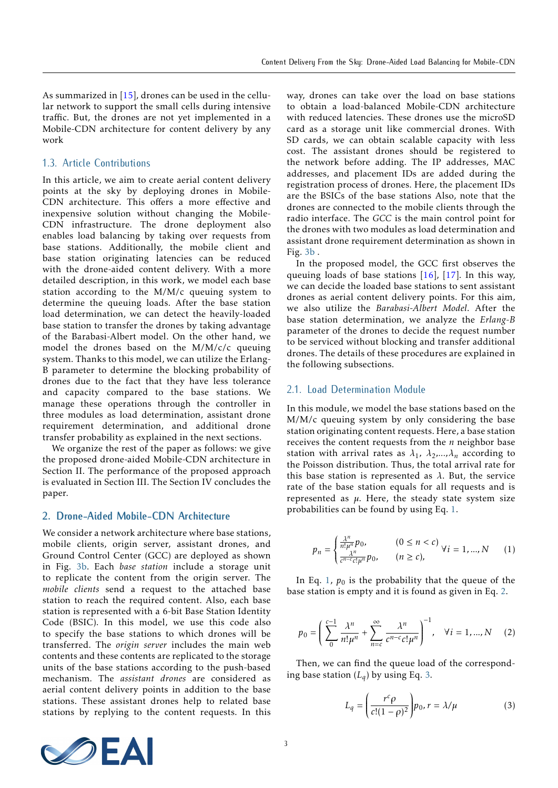As summarized in [\[15\]](#page-6-7), drones can be used in the cellular network to support the small cells during intensive traffic. But, the drones are not yet implemented in a Mobile-CDN architecture for content delivery by any work

# 1.3. Article Contributions

In this article, we aim to create aerial content delivery points at the sky by deploying drones in Mobile-CDN architecture. This offers a more effective and inexpensive solution without changing the Mobile-CDN infrastructure. The drone deployment also enables load balancing by taking over requests from base stations. Additionally, the mobile client and base station originating latencies can be reduced with the drone-aided content delivery. With a more detailed description, in this work, we model each base station according to the M/M/c queuing system to determine the queuing loads. After the base station load determination, we can detect the heavily-loaded base station to transfer the drones by taking advantage of the Barabasi-Albert model. On the other hand, we model the drones based on the M/M/c/c queuing system. Thanks to this model, we can utilize the Erlang-B parameter to determine the blocking probability of drones due to the fact that they have less tolerance and capacity compared to the base stations. We manage these operations through the controller in three modules as load determination, assistant drone requirement determination, and additional drone transfer probability as explained in the next sections.

We organize the rest of the paper as follows: we give the proposed drone-aided Mobile-CDN architecture in Section II. The performance of the proposed approach is evaluated in Section III. The Section IV concludes the paper.

## **2. Drone-Aided Mobile-CDN Architecture**

We consider a network architecture where base stations, mobile clients, origin server, assistant drones, and Ground Control Center (GCC) are deployed as shown in Fig. [3b.](#page-3-1) Each *base station* include a storage unit to replicate the content from the origin server. The *mobile clients* send a request to the attached base station to reach the required content. Also, each base station is represented with a 6-bit Base Station Identity Code (BSIC). In this model, we use this code also to specify the base stations to which drones will be transferred. The *origin server* includes the main web contents and these contents are replicated to the storage units of the base stations according to the push-based mechanism. The *assistant drones* are considered as aerial content delivery points in addition to the base stations. These assistant drones help to related base stations by replying to the content requests. In this way, drones can take over the load on base stations to obtain a load-balanced Mobile-CDN architecture with reduced latencies. These drones use the microSD card as a storage unit like commercial drones. With SD cards, we can obtain scalable capacity with less cost. The assistant drones should be registered to the network before adding. The IP addresses, MAC addresses, and placement IDs are added during the registration process of drones. Here, the placement IDs are the BSICs of the base stations Also, note that the drones are connected to the mobile clients through the radio interface. The *GCC* is the main control point for the drones with two modules as load determination and assistant drone requirement determination as shown in Fig. [3b](#page-3-1) .

In the proposed model, the GCC first observes the queuing loads of base stations  $[16]$ ,  $[17]$ . In this way, we can decide the loaded base stations to sent assistant drones as aerial content delivery points. For this aim, we also utilize the *Barabasi-Albert Model*. After the base station determination, we analyze the *Erlang-B* parameter of the drones to decide the request number to be serviced without blocking and transfer additional drones. The details of these procedures are explained in the following subsections.

# 2.1. Load Determination Module

In this module, we model the base stations based on the M/M/c queuing system by only considering the base station originating content requests. Here, a base station receives the content requests from the *n* neighbor base station with arrival rates as  $\lambda_1$ ,  $\lambda_2$ , ...,  $\lambda_n$  according to the Poisson distribution. Thus, the total arrival rate for this base station is represented as *λ*. But, the service rate of the base station equals for all requests and is represented as  $\mu$ . Here, the steady state system size probabilities can be found by using Eq. [1.](#page-2-0)

<span id="page-2-0"></span>
$$
p_n = \begin{cases} \frac{\lambda^n}{n!\mu^n} p_0, & (0 \le n < c) \\ \frac{\lambda^n}{c^{n-c}c!\mu^n} p_0, & (n \ge c), \end{cases} \quad \forall i = 1, \dots, N \qquad (1)
$$

In Eq. [1,](#page-2-0)  $p_0$  is the probability that the queue of the base station is empty and it is found as given in Eq. [2.](#page-2-1)

<span id="page-2-1"></span>
$$
p_0 = \left(\sum_{0}^{c-1} \frac{\lambda^n}{n!\mu^n} + \sum_{n=c}^{\infty} \frac{\lambda^n}{c^{n-c}c!\mu^n}\right)^{-1}, \quad \forall i = 1, ..., N \quad (2)
$$

Then, we can find the queue load of the corresponding base station  $(L_q)$  by using Eq. [3.](#page-2-2)

<span id="page-2-2"></span>
$$
L_q = \left(\frac{r^c \rho}{c!(1-\rho)^2}\right) p_0, r = \lambda/\mu \tag{3}
$$

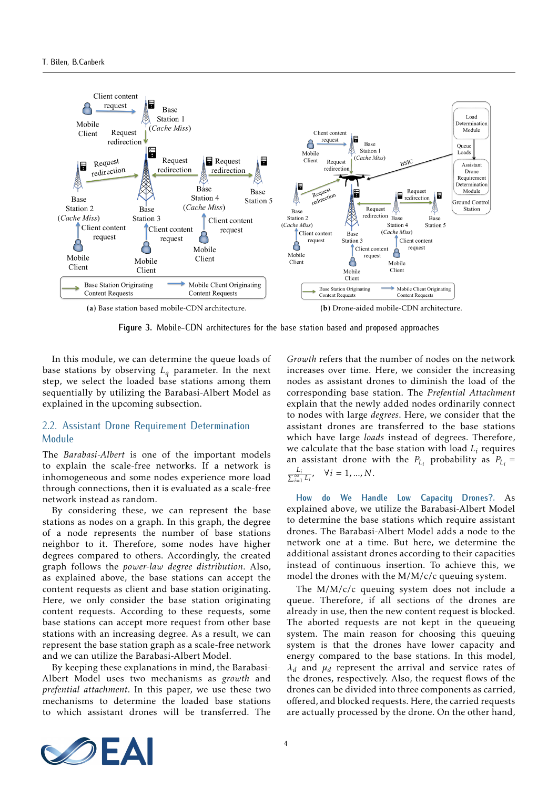<span id="page-3-0"></span>

**Figure 3.** Mobile-CDN architectures for the base station based and proposed approaches

In this module, we can determine the queue loads of base stations by observing *L<sup>q</sup>* parameter. In the next step, we select the loaded base stations among them sequentially by utilizing the Barabasi-Albert Model as explained in the upcoming subsection.

# 2.2. Assistant Drone Requirement Determination Module

The *Barabasi-Albert* is one of the important models to explain the scale-free networks. If a network is inhomogeneous and some nodes experience more load through connections, then it is evaluated as a scale-free network instead as random.

By considering these, we can represent the base stations as nodes on a graph. In this graph, the degree of a node represents the number of base stations neighbor to it. Therefore, some nodes have higher degrees compared to others. Accordingly, the created graph follows the *power-law degree distribution*. Also, as explained above, the base stations can accept the content requests as client and base station originating. Here, we only consider the base station originating content requests. According to these requests, some base stations can accept more request from other base stations with an increasing degree. As a result, we can represent the base station graph as a scale-free network and we can utilize the Barabasi-Albert Model.

By keeping these explanations in mind, the Barabasi-Albert Model uses two mechanisms as *growth* and *prefential attachment*. In this paper, we use these two mechanisms to determine the loaded base stations to which assistant drones will be transferred. The

<span id="page-3-1"></span>*Growth* refers that the number of nodes on the network increases over time. Here, we consider the increasing nodes as assistant drones to diminish the load of the corresponding base station. The *Prefential Attachment* explain that the newly added nodes ordinarily connect to nodes with large *degrees*. Here, we consider that the assistant drones are transferred to the base stations which have large *loads* instead of degrees. Therefore, we calculate that the base station with load *L<sup>i</sup>* requires an assistant drone with the  $P_{L_i}$  probability as  $P_{L_i}$  =  $\frac{L_i}{\sum_{i=1}^{\infty} L_i}$  $\forall i = 1, ..., N$ .

**How do We Handle Low Capacity Drones?.** As explained above, we utilize the Barabasi-Albert Model to determine the base stations which require assistant drones. The Barabasi-Albert Model adds a node to the network one at a time. But here, we determine the additional assistant drones according to their capacities instead of continuous insertion. To achieve this, we model the drones with the M/M/c/c queuing system.

The M/M/c/c queuing system does not include a queue. Therefore, if all sections of the drones are already in use, then the new content request is blocked. The aborted requests are not kept in the queueing system. The main reason for choosing this queuing system is that the drones have lower capacity and energy compared to the base stations. In this model, *λ<sup>d</sup>* and *µ<sup>d</sup>* represent the arrival and service rates of the drones, respectively. Also, the request flows of the drones can be divided into three components as carried, offered, and blocked requests. Here, the carried requests are actually processed by the drone. On the other hand,

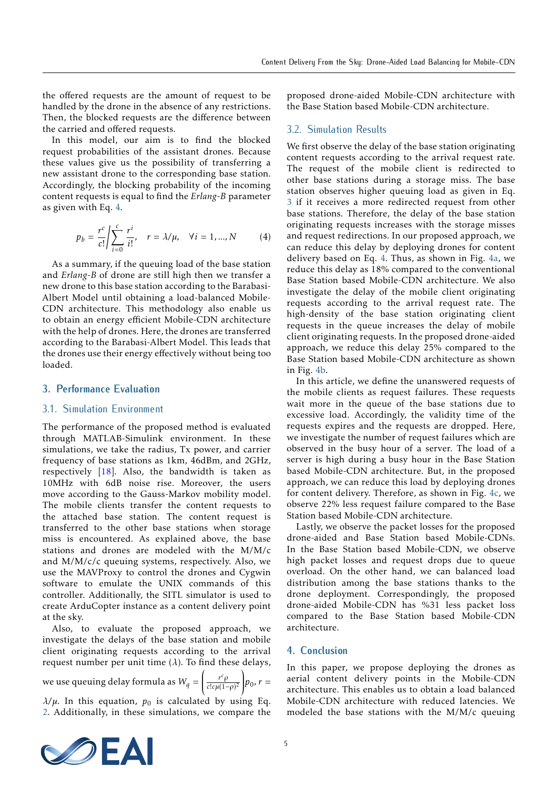the offered requests are the amount of request to be handled by the drone in the absence of any restrictions. Then, the blocked requests are the difference between the carried and offered requests.

In this model, our aim is to find the blocked request probabilities of the assistant drones. Because these values give us the possibility of transferring a new assistant drone to the corresponding base station. Accordingly, the blocking probability of the incoming content requests is equal to find the *Erlang-B* parameter as given with Eq. [4.](#page-4-0)

<span id="page-4-0"></span>
$$
p_b = \frac{r^c}{c!} \left| \sum_{i=0}^{c} \frac{r^i}{i!}, \quad r = \lambda/\mu, \quad \forall i = 1, ..., N \right| \tag{4}
$$

As a summary, if the queuing load of the base station and *Erlang-B* of drone are still high then we transfer a new drone to this base station according to the Barabasi-Albert Model until obtaining a load-balanced Mobile-CDN architecture. This methodology also enable us to obtain an energy efficient Mobile-CDN architecture with the help of drones. Here, the drones are transferred according to the Barabasi-Albert Model. This leads that the drones use their energy effectively without being too loaded.

### **3. Performance Evaluation**

#### 3.1. Simulation Environment

The performance of the proposed method is evaluated through MATLAB-Simulink environment. In these simulations, we take the radius, Tx power, and carrier frequency of base stations as 1km, 46dBm, and 2GHz, respectively  $[18]$ . Also, the bandwidth is taken as 10MHz with 6dB noise rise. Moreover, the users move according to the Gauss-Markov mobility model. The mobile clients transfer the content requests to the attached base station. The content request is transferred to the other base stations when storage miss is encountered. As explained above, the base stations and drones are modeled with the M/M/c and  $M/M/c/c$  queuing systems, respectively. Also, we use the MAVProxy to control the drones and Cygwin software to emulate the UNIX commands of this controller. Additionally, the SITL simulator is used to create ArduCopter instance as a content delivery point at the sky.

Also, to evaluate the proposed approach, we investigate the delays of the base station and mobile client originating requests according to the arrival request number per unit time  $(\lambda)$ . To find these delays,

we use queuing delay formula as *W<sup>q</sup>* = ĺ  $\frac{r^c \rho}{c! c \mu(1-\rho)}$  $\overline{c!c\mu(1-\rho)^2}$  $\lambda$  $p_0, r =$  $λ/μ$ . In this equation,  $p<sub>0</sub>$  is calculated by using Eq. [2.](#page-2-1) Additionally, in these simulations, we compare the proposed drone-aided Mobile-CDN architecture with the Base Station based Mobile-CDN architecture.

## 3.2. Simulation Results

We first observe the delay of the base station originating content requests according to the arrival request rate. The request of the mobile client is redirected to other base stations during a storage miss. The base station observes higher queuing load as given in Eq. [3](#page-2-2) if it receives a more redirected request from other base stations. Therefore, the delay of the base station originating requests increases with the storage misses and request redirections. In our proposed approach, we can reduce this delay by deploying drones for content delivery based on Eq. [4.](#page-4-0) Thus, as shown in Fig. [4a,](#page-5-0) we reduce this delay as 18% compared to the conventional Base Station based Mobile-CDN architecture. We also investigate the delay of the mobile client originating requests according to the arrival request rate. The high-density of the base station originating client requests in the queue increases the delay of mobile client originating requests. In the proposed drone-aided approach, we reduce this delay 25% compared to the Base Station based Mobile-CDN architecture as shown in Fig. [4b.](#page-5-1)

In this article, we define the unanswered requests of the mobile clients as request failures. These requests wait more in the queue of the base stations due to excessive load. Accordingly, the validity time of the requests expires and the requests are dropped. Here, we investigate the number of request failures which are observed in the busy hour of a server. The load of a server is high during a busy hour in the Base Station based Mobile-CDN architecture. But, in the proposed approach, we can reduce this load by deploying drones for content delivery. Therefore, as shown in Fig. [4c,](#page-5-2) we observe 22% less request failure compared to the Base Station based Mobile-CDN architecture.

Lastly, we observe the packet losses for the proposed drone-aided and Base Station based Mobile-CDNs. In the Base Station based Mobile-CDN, we observe high packet losses and request drops due to queue overload. On the other hand, we can balanced load distribution among the base stations thanks to the drone deployment. Correspondingly, the proposed drone-aided Mobile-CDN has %31 less packet loss compared to the Base Station based Mobile-CDN architecture.

## **4. Conclusion**

In this paper, we propose deploying the drones as aerial content delivery points in the Mobile-CDN architecture. This enables us to obtain a load balanced Mobile-CDN architecture with reduced latencies. We modeled the base stations with the M/M/c queuing

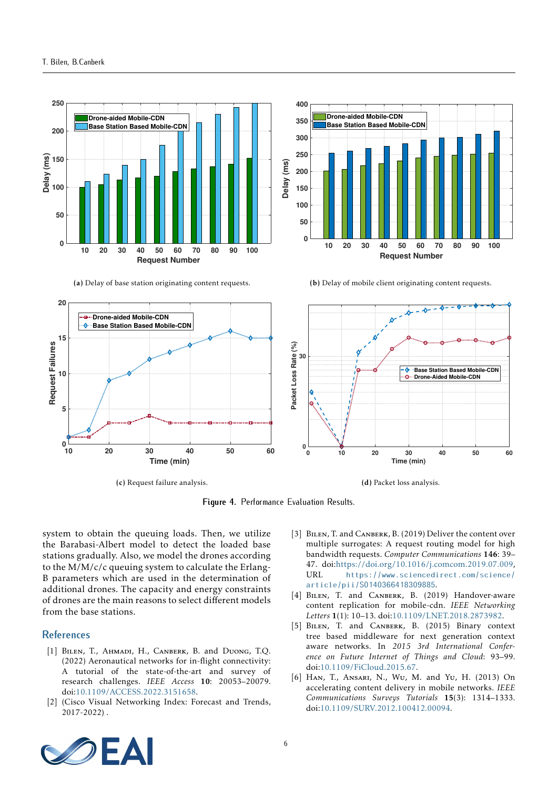<span id="page-5-0"></span>

(a) Delay of base station originating content requests.



<span id="page-5-1"></span>(b) Delay of mobile client originating content requests.

<span id="page-5-2"></span>

(c) Request failure analysis.

(d) Packet loss analysis.

**Figure 4.** Performance Evaluation Results.

system to obtain the queuing loads. Then, we utilize the Barabasi-Albert model to detect the loaded base stations gradually. Also, we model the drones according to the  $M/M/c/c$  queuing system to calculate the Erlang-B parameters which are used in the determination of additional drones. The capacity and energy constraints of drones are the main reasons to select different models from the base stations.

#### **References**

- [1] BILEN, T., AHMADI, H., CANBERK, B. and DUONG, T.Q. (2022) Aeronautical networks for in-flight connectivity: A tutorial of the state-of-the-art and survey of research challenges. *IEEE Access* 10: 20053–20079. doi[:10.1109/ACCESS.2022.3151658.](https://doi.org/10.1109/ACCESS.2022.3151658)
- [2] (Cisco Visual Networking Index: Forecast and Trends, 2017-2022) .
- [3] BILEN, T. and CANBERK, B. (2019) Deliver the content over multiple surrogates: A request routing model for high bandwidth requests. *Computer Communications* 146: 39– 47. doi[:https://doi.org/10.1016/j.comcom.2019.07.009,](https://doi.org/https://doi.org/10.1016/j.comcom.2019.07.009) URL [https://www.sciencedirect.com/science/](https://www.sciencedirect.com/science/article/pii/S0140366418309885) [article/pii/S0140366418309885](https://www.sciencedirect.com/science/article/pii/S0140366418309885).
- [4] BILEN, T. and CANBERK, B. (2019) Handover-aware content replication for mobile-cdn. *IEEE Networking Letters* 1(1): 10–13. doi[:10.1109/LNET.2018.2873982.](https://doi.org/10.1109/LNET.2018.2873982)
- [5] BILEN, T. and CANBERK, B. (2015) Binary context tree based middleware for next generation context aware networks. In *2015 3rd International Conference on Future Internet of Things and Cloud*: 93–99. doi[:10.1109/FiCloud.2015.67.](https://doi.org/10.1109/FiCloud.2015.67)
- [6] Han, T., Ansari, N., Wu, M. and Yu, H. (2013) On accelerating content delivery in mobile networks. *IEEE Communications Surveys Tutorials* 15(3): 1314–1333. doi[:10.1109/SURV.2012.100412.00094.](https://doi.org/10.1109/SURV.2012.100412.00094)